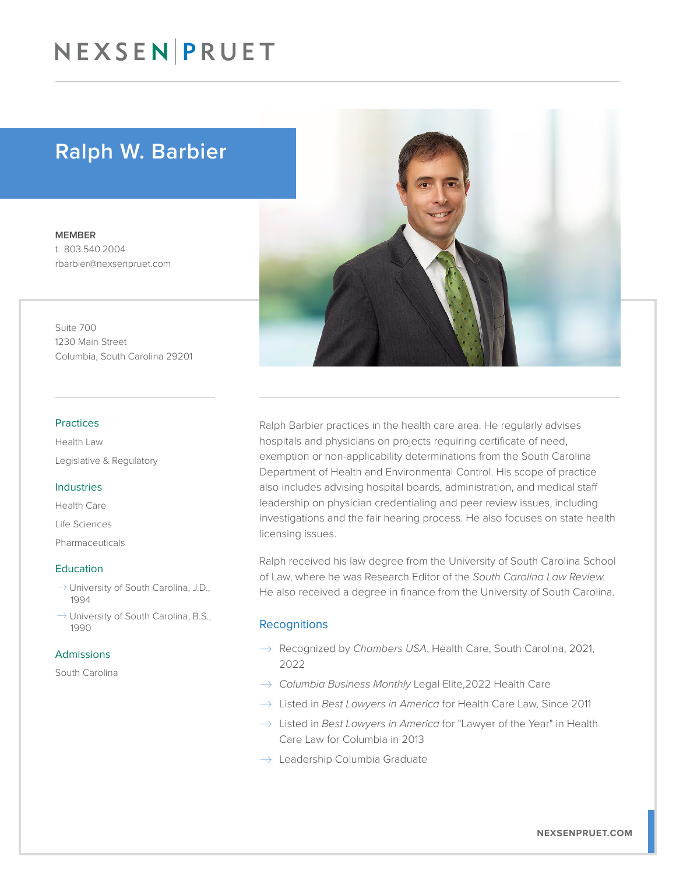# NEXSEN PRUET

# Ralph W. Barbier

MEMBER t. 803.540.2004 rbarbier@nexsenpruet.com

Suite 700 1230 Main Street Columbia, South Carolina 29201

#### Practices

Health Law Legislative & Regulatory

#### Industries

Health Care

Life Sciences

Pharmaceuticals

#### **Education**

- $\rightarrow$  University of South Carolina, J.D., 1994
- $\rightarrow$  University of South Carolina, B.S., 1990

#### Admissions

South Carolina



Ralph Barbier practices in the health care area. He regularly advises hospitals and physicians on projects requiring certificate of need, exemption or non-applicability determinations from the South Carolina Department of Health and Environmental Control. His scope of practice also includes advising hospital boards, administration, and medical staff leadership on physician credentialing and peer review issues, including investigations and the fair hearing process. He also focuses on state health licensing issues.

Ralph received his law degree from the University of South Carolina School of Law, where he was Research Editor of the *South Carolina Law Review.* He also received a degree in finance from the University of South Carolina.

#### **Recognitions**

- � Recognized by *Chambers USA*, Health Care, South Carolina, 2021, 2022
- � *Columbia Business Monthly* Legal Elite,2022 Health Care
- → Listed in *Best Lawyers in America* for Health Care Law, Since 2011
- $\rightarrow$  Listed in *Best Lawyers in America* for "Lawyer of the Year" in Health Care Law for Columbia in 2013
- $\rightarrow$  Leadership Columbia Graduate